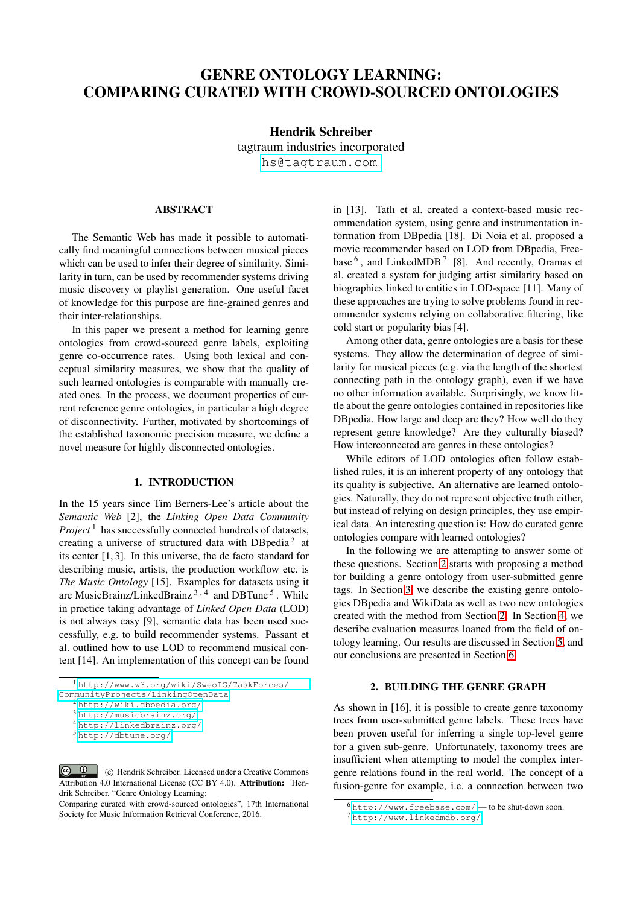# GENRE ONTOLOGY LEARNING: COMPARING CURATED WITH CROWD-SOURCED ONTOLOGIES

# Hendrik Schreiber

tagtraum industries incorporated

[hs@tagtraum.com](mailto:hs@tagtraum.com)

# ABSTRACT

The Semantic Web has made it possible to automatically find meaningful connections between musical pieces which can be used to infer their degree of similarity. Similarity in turn, can be used by recommender systems driving music discovery or playlist generation. One useful facet of knowledge for this purpose are fine-grained genres and their inter-relationships.

In this paper we present a method for learning genre ontologies from crowd-sourced genre labels, exploiting genre co-occurrence rates. Using both lexical and conceptual similarity measures, we show that the quality of such learned ontologies is comparable with manually created ones. In the process, we document properties of current reference genre ontologies, in particular a high degree of disconnectivity. Further, motivated by shortcomings of the established taxonomic precision measure, we define a novel measure for highly disconnected ontologies.

## 1. INTRODUCTION

In the 15 years since Tim Berners-Lee's article about the *Semantic Web* [2], the *Linking Open Data Community Project*<sup>1</sup> has successfully connected hundreds of datasets, creating a universe of structured data with DBpedia<sup>2</sup> at its center [1, 3]. In this universe, the de facto standard for describing music, artists, the production workflow etc. is *The Music Ontology* [15]. Examples for datasets using it are MusicBrainz/LinkedBrainz<sup>3,4</sup> and DBTune<sup>5</sup>. While in practice taking advantage of *Linked Open Data* (LOD) is not always easy [9], semantic data has been used successfully, e.g. to build recommender systems. Passant et al. outlined how to use LOD to recommend musical content [14]. An implementation of this concept can be found in [13]. Tatlı et al. created a context-based music recommendation system, using genre and instrumentation information from DBpedia [18]. Di Noia et al. proposed a movie recommender based on LOD from DBpedia, Freebase  $<sup>6</sup>$ , and LinkedMDB<sup>7</sup> [8]. And recently, Oramas et</sup> al. created a system for judging artist similarity based on biographies linked to entities in LOD-space [11]. Many of these approaches are trying to solve problems found in recommender systems relying on collaborative filtering, like cold start or popularity bias [4].

Among other data, genre ontologies are a basis for these systems. They allow the determination of degree of similarity for musical pieces (e.g. via the length of the shortest connecting path in the ontology graph), even if we have no other information available. Surprisingly, we know little about the genre ontologies contained in repositories like DBpedia. How large and deep are they? How well do they represent genre knowledge? Are they culturally biased? How interconnected are genres in these ontologies?

While editors of LOD ontologies often follow established rules, it is an inherent property of any ontology that its quality is subjective. An alternative are learned ontologies. Naturally, they do not represent objective truth either, but instead of relying on design principles, they use empirical data. An interesting question is: How do curated genre ontologies compare with learned ontologies?

In the following we are attempting to answer some of these questions. Section [2](#page-0-0) starts with proposing a method for building a genre ontology from user-submitted genre tags. In Section [3,](#page-1-0) we describe the existing genre ontologies DBpedia and WikiData as well as two new ontologies created with the method from Section [2.](#page-0-0) In Section [4,](#page-2-0) we describe evaluation measures loaned from the field of ontology learning. Our results are discussed in Section [5,](#page-3-0) and our conclusions are presented in Section [6.](#page-5-0)

# 2. BUILDING THE GENRE GRAPH

<span id="page-0-0"></span>As shown in [16], it is possible to create genre taxonomy trees from user-submitted genre labels. These trees have been proven useful for inferring a single top-level genre for a given sub-genre. Unfortunately, taxonomy trees are insufficient when attempting to model the complex intergenre relations found in the real world. The concept of a fusion-genre for example, i.e. a connection between two

<sup>1</sup> [http://www.w3.org/wiki/SweoIG/TaskForces/](http://www.w3.org/wiki/SweoIG/TaskForces/CommunityProjects/LinkingOpenData)

[CommunityProjects/LinkingOpenData](http://www.w3.org/wiki/SweoIG/TaskForces/CommunityProjects/LinkingOpenData)

<sup>2</sup> <http://wiki.dbpedia.org/>

<sup>3</sup> <http://musicbrainz.org/>

<sup>4</sup> <http://linkedbrainz.org/>

<sup>5</sup> <http://dbtune.org/>

 $\boxed{6}$  0 c Hendrik Schreiber. Licensed under a Creative Commons Attribution 4.0 International License (CC BY 4.0). Attribution: Hendrik Schreiber. "Genre Ontology Learning:

Comparing curated with crowd-sourced ontologies", 17th International Society for Music Information Retrieval Conference, 2016.

<sup>6</sup> <http://www.freebase.com/> — to be shut-down soon.

<sup>7</sup> <http://www.linkedmdb.org/>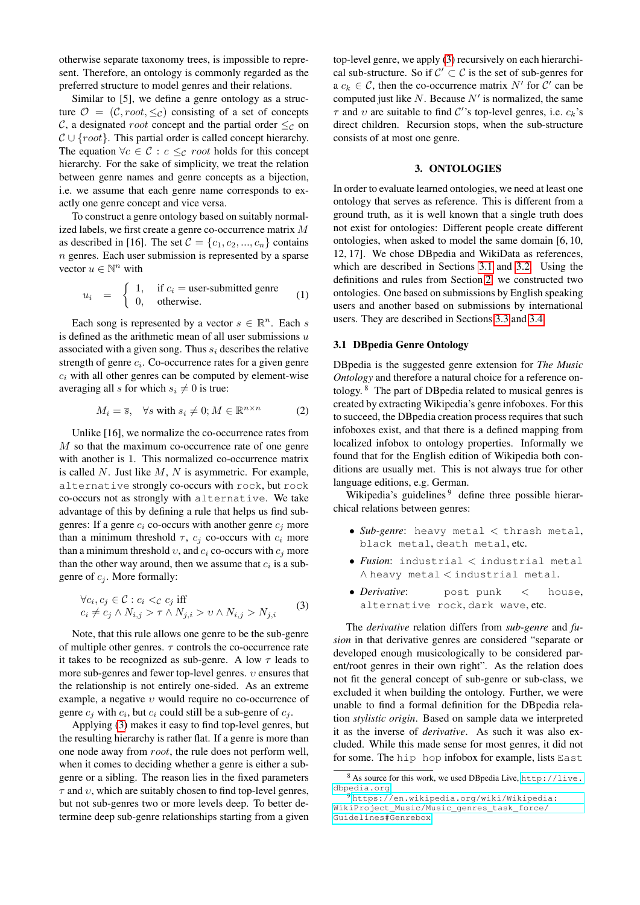otherwise separate taxonomy trees, is impossible to represent. Therefore, an ontology is commonly regarded as the preferred structure to model genres and their relations.

Similar to [5], we define a genre ontology as a structure  $\mathcal{O} = (\mathcal{C}, root, \leq_{\mathcal{C}})$  consisting of a set of concepts C, a designated *root* concept and the partial order  $\leq_{\mathcal{C}}$  on  $C \cup \{root\}$ . This partial order is called concept hierarchy. The equation  $\forall c \in C : c \leq_c root$  holds for this concept hierarchy. For the sake of simplicity, we treat the relation between genre names and genre concepts as a bijection, i.e. we assume that each genre name corresponds to exactly one genre concept and vice versa.

To construct a genre ontology based on suitably normalized labels, we first create a genre co-occurrence matrix M as described in [16]. The set  $\mathcal{C} = \{c_1, c_2, ..., c_n\}$  contains  $n$  genres. Each user submission is represented by a sparse vector  $u \in \mathbb{N}^n$  with

$$
u_i = \begin{cases} 1, & \text{if } c_i = \text{user-submitted genre} \\ 0, & \text{otherwise.} \end{cases} (1)
$$

Each song is represented by a vector  $s \in \mathbb{R}^n$ . Each s is defined as the arithmetic mean of all user submissions  $u$ associated with a given song. Thus  $s_i$  describes the relative strength of genre  $c_i$ . Co-occurrence rates for a given genre  $c_i$  with all other genres can be computed by element-wise averaging all s for which  $s_i \neq 0$  is true:

$$
M_i = \overline{s}, \quad \forall s \text{ with } s_i \neq 0; M \in \mathbb{R}^{n \times n} \tag{2}
$$

Unlike [16], we normalize the co-occurrence rates from M so that the maximum co-occurrence rate of one genre with another is 1. This normalized co-occurrence matrix is called  $N$ . Just like  $M$ ,  $N$  is asymmetric. For example, alternative strongly co-occurs with rock, but rock co-occurs not as strongly with alternative. We take advantage of this by defining a rule that helps us find subgenres: If a genre  $c_i$  co-occurs with another genre  $c_i$  more than a minimum threshold  $\tau$ ,  $c_i$  co-occurs with  $c_i$  more than a minimum threshold  $v$ , and  $c_i$  co-occurs with  $c_j$  more than the other way around, then we assume that  $c_i$  is a subgenre of  $c_i$ . More formally:

<span id="page-1-1"></span>
$$
\forall c_i, c_j \in \mathcal{C} : c_i <_{\mathcal{C}} c_j \text{ iff}
$$
\n
$$
c_i \neq c_j \land N_{i,j} > \tau \land N_{j,i} > \upsilon \land N_{i,j} > N_{j,i} \tag{3}
$$

Note, that this rule allows one genre to be the sub-genre of multiple other genres.  $\tau$  controls the co-occurrence rate it takes to be recognized as sub-genre. A low  $\tau$  leads to more sub-genres and fewer top-level genres.  $v$  ensures that the relationship is not entirely one-sided. As an extreme example, a negative  $v$  would require no co-occurrence of genre  $c_j$  with  $c_i$ , but  $c_i$  could still be a sub-genre of  $c_j$ .

Applying [\(3\)](#page-1-1) makes it easy to find top-level genres, but the resulting hierarchy is rather flat. If a genre is more than one node away from root, the rule does not perform well, when it comes to deciding whether a genre is either a subgenre or a sibling. The reason lies in the fixed parameters  $\tau$  and  $\upsilon$ , which are suitably chosen to find top-level genres, but not sub-genres two or more levels deep. To better determine deep sub-genre relationships starting from a given top-level genre, we apply [\(3\)](#page-1-1) recursively on each hierarchical sub-structure. So if  $C' \subset C$  is the set of sub-genres for a  $c_k \in \mathcal{C}$ , then the co-occurrence matrix N' for C' can be computed just like  $N$ . Because  $N'$  is normalized, the same  $\tau$  and  $\upsilon$  are suitable to find C''s top-level genres, i.e.  $c_k$ 's direct children. Recursion stops, when the sub-structure consists of at most one genre.

## 3. ONTOLOGIES

<span id="page-1-0"></span>In order to evaluate learned ontologies, we need at least one ontology that serves as reference. This is different from a ground truth, as it is well known that a single truth does not exist for ontologies: Different people create different ontologies, when asked to model the same domain [6, 10, 12, 17]. We chose DBpedia and WikiData as references, which are described in Sections [3.1](#page-1-2) and [3.2.](#page-2-1) Using the definitions and rules from Section [2,](#page-0-0) we constructed two ontologies. One based on submissions by English speaking users and another based on submissions by international users. They are described in Sections [3.3](#page-2-2) and [3.4.](#page-2-3)

## <span id="page-1-2"></span>3.1 DBpedia Genre Ontology

DBpedia is the suggested genre extension for *The Music Ontology* and therefore a natural choice for a reference ontology. <sup>8</sup> The part of DBpedia related to musical genres is created by extracting Wikipedia's genre infoboxes. For this to succeed, the DBpedia creation process requires that such infoboxes exist, and that there is a defined mapping from localized infobox to ontology properties. Informally we found that for the English edition of Wikipedia both conditions are usually met. This is not always true for other language editions, e.g. German.

Wikipedia's guidelines<sup>9</sup> define three possible hierarchical relations between genres:

- *Sub-genre*: heavy metal < thrash metal, black metal, death metal, etc.
- *Fusion*: industrial < industrial metal ∧ heavy metal < industrial metal.
- *Derivative*: post punk < house, alternative rock, dark wave, etc.

The *derivative* relation differs from *sub-genre* and *fusion* in that derivative genres are considered "separate or developed enough musicologically to be considered parent/root genres in their own right". As the relation does not fit the general concept of sub-genre or sub-class, we excluded it when building the ontology. Further, we were unable to find a formal definition for the DBpedia relation *stylistic origin*. Based on sample data we interpreted it as the inverse of *derivative*. As such it was also excluded. While this made sense for most genres, it did not for some. The hip hop infobox for example, lists East

<sup>8</sup> As source for this work, we used DBpedia Live, [http://live.](http://live.dbpedia.org) [dbpedia.org](http://live.dbpedia.org).

<sup>9</sup> [https://en.wikipedia.org/wiki/Wikipedia:](https://en.wikipedia.org/wiki/Wikipedia:WikiProject_Music/Music_genres_task_force/Guidelines#Genrebox) [WikiProject\\_Music/Music\\_genres\\_task\\_force/](https://en.wikipedia.org/wiki/Wikipedia:WikiProject_Music/Music_genres_task_force/Guidelines#Genrebox) [Guidelines#Genrebox](https://en.wikipedia.org/wiki/Wikipedia:WikiProject_Music/Music_genres_task_force/Guidelines#Genrebox)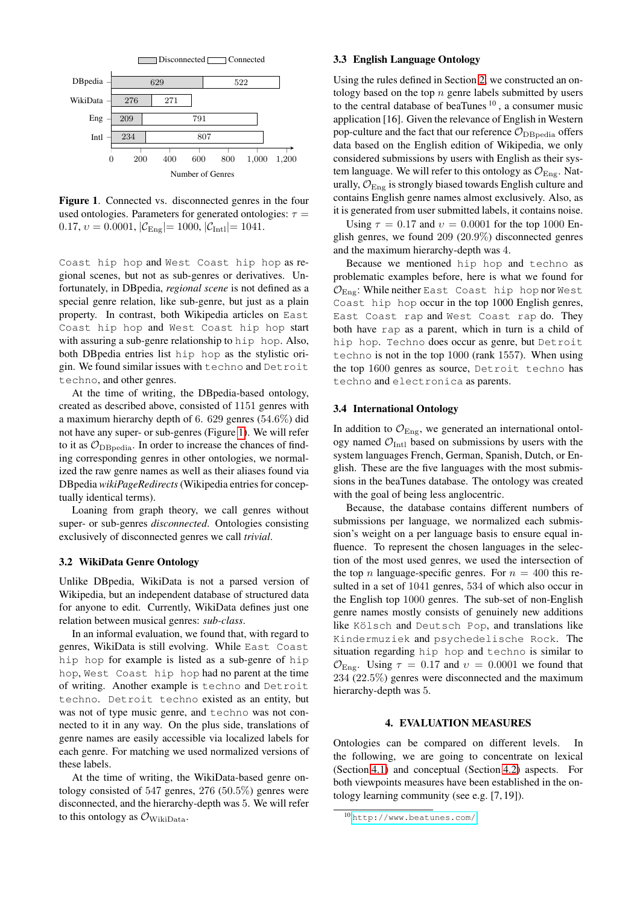

<span id="page-2-4"></span>Figure 1. Connected vs. disconnected genres in the four used ontologies. Parameters for generated ontologies:  $\tau =$ 0.17,  $v = 0.0001$ ,  $|\mathcal{C}_{\text{Eng}}| = 1000$ ,  $|\mathcal{C}_{\text{Int1}}| = 1041$ .

Coast hip hop and West Coast hip hop as regional scenes, but not as sub-genres or derivatives. Unfortunately, in DBpedia, *regional scene* is not defined as a special genre relation, like sub-genre, but just as a plain property. In contrast, both Wikipedia articles on East Coast hip hop and West Coast hip hop start with assuring a sub-genre relationship to hip hop. Also, both DBpedia entries list hip hop as the stylistic origin. We found similar issues with techno and Detroit techno, and other genres.

At the time of writing, the DBpedia-based ontology, created as described above, consisted of 1151 genres with a maximum hierarchy depth of 6. 629 genres (54.6%) did not have any super- or sub-genres (Figure [1\)](#page-2-4). We will refer to it as  $\mathcal{O}_{\text{DBnedia}}$ . In order to increase the chances of finding corresponding genres in other ontologies, we normalized the raw genre names as well as their aliases found via DBpedia *wikiPageRedirects*(Wikipedia entries for conceptually identical terms).

Loaning from graph theory, we call genres without super- or sub-genres *disconnected*. Ontologies consisting exclusively of disconnected genres we call *trivial*.

## <span id="page-2-1"></span>3.2 WikiData Genre Ontology

Unlike DBpedia, WikiData is not a parsed version of Wikipedia, but an independent database of structured data for anyone to edit. Currently, WikiData defines just one relation between musical genres: *sub-class*.

In an informal evaluation, we found that, with regard to genres, WikiData is still evolving. While East Coast hip hop for example is listed as a sub-genre of hip hop, West Coast hip hop had no parent at the time of writing. Another example is techno and Detroit techno. Detroit techno existed as an entity, but was not of type music genre, and techno was not connected to it in any way. On the plus side, translations of genre names are easily accessible via localized labels for each genre. For matching we used normalized versions of these labels.

At the time of writing, the WikiData-based genre ontology consisted of 547 genres,  $276 (50.5\%)$  genres were disconnected, and the hierarchy-depth was 5. We will refer to this ontology as  $\mathcal{O}_{\text{Wikipedia}}$ .

#### <span id="page-2-2"></span>3.3 English Language Ontology

Using the rules defined in Section [2,](#page-0-0) we constructed an ontology based on the top  $n$  genre labels submitted by users to the central database of beaTunes  $10$ , a consumer music application [16]. Given the relevance of English in Western pop-culture and the fact that our reference  $\mathcal{O}_{\text{DBnedia}}$  offers data based on the English edition of Wikipedia, we only considered submissions by users with English as their system language. We will refer to this ontology as  $\mathcal{O}_{\text{Eng}}$ . Naturally,  $\mathcal{O}_{\text{Eng}}$  is strongly biased towards English culture and contains English genre names almost exclusively. Also, as it is generated from user submitted labels, it contains noise.

Using  $\tau = 0.17$  and  $v = 0.0001$  for the top 1000 English genres, we found 209 (20.9%) disconnected genres and the maximum hierarchy-depth was 4.

Because we mentioned hip hop and techno as problematic examples before, here is what we found for  $\mathcal{O}_{\text{Eng}}$ : While neither East Coast hip hop nor West Coast hip hop occur in the top 1000 English genres, East Coast rap and West Coast rap do. They both have rap as a parent, which in turn is a child of hip hop. Techno does occur as genre, but Detroit techno is not in the top 1000 (rank 1557). When using the top 1600 genres as source, Detroit techno has techno and electronica as parents.

#### <span id="page-2-3"></span>3.4 International Ontology

In addition to  $\mathcal{O}_{\text{Eng}}$ , we generated an international ontology named  $\mathcal{O}_{\text{Int}}$  based on submissions by users with the system languages French, German, Spanish, Dutch, or English. These are the five languages with the most submissions in the beaTunes database. The ontology was created with the goal of being less anglocentric.

Because, the database contains different numbers of submissions per language, we normalized each submission's weight on a per language basis to ensure equal influence. To represent the chosen languages in the selection of the most used genres, we used the intersection of the top *n* language-specific genres. For  $n = 400$  this resulted in a set of 1041 genres, 534 of which also occur in the English top 1000 genres. The sub-set of non-English genre names mostly consists of genuinely new additions like Kölsch and Deutsch Pop, and translations like Kindermuziek and psychedelische Rock. The situation regarding hip hop and techno is similar to  $\mathcal{O}_{\text{Eng}}$ . Using  $\tau = 0.17$  and  $v = 0.0001$  we found that 234 (22.5%) genres were disconnected and the maximum hierarchy-depth was 5.

## 4. EVALUATION MEASURES

<span id="page-2-0"></span>Ontologies can be compared on different levels. In the following, we are going to concentrate on lexical (Section [4.1\)](#page-3-1) and conceptual (Section [4.2\)](#page-3-2) aspects. For both viewpoints measures have been established in the ontology learning community (see e.g. [7, 19]).

<sup>10</sup> <http://www.beatunes.com/>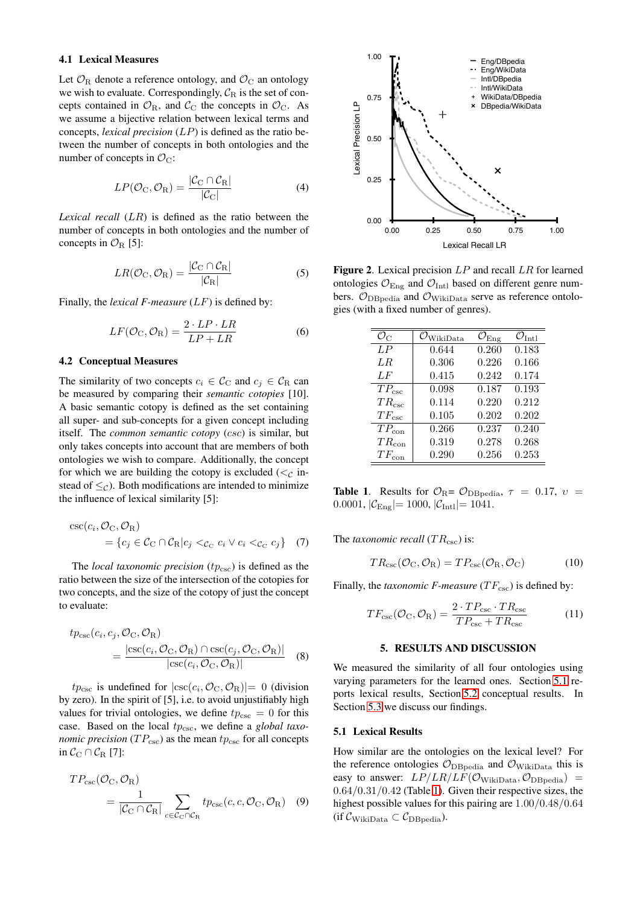#### <span id="page-3-1"></span>4.1 Lexical Measures

Let  $\mathcal{O}_R$  denote a reference ontology, and  $\mathcal{O}_C$  an ontology we wish to evaluate. Correspondingly,  $C_R$  is the set of concepts contained in  $\mathcal{O}_R$ , and  $\mathcal{C}_C$  the concepts in  $\mathcal{O}_C$ . As we assume a bijective relation between lexical terms and concepts, *lexical precision* (LP) is defined as the ratio between the number of concepts in both ontologies and the number of concepts in  $\mathcal{O}_C$ :

$$
LP(\mathcal{O}_{C}, \mathcal{O}_{R}) = \frac{|\mathcal{C}_{C} \cap \mathcal{C}_{R}|}{|\mathcal{C}_{C}|}
$$
(4)

*Lexical recall* (LR) is defined as the ratio between the number of concepts in both ontologies and the number of concepts in  $\mathcal{O}_R$  [5]:

$$
LR(\mathcal{O}_{C}, \mathcal{O}_{R}) = \frac{|\mathcal{C}_{C} \cap \mathcal{C}_{R}|}{|\mathcal{C}_{R}|}
$$
 (5)

Finally, the *lexical F-measure* (LF) is defined by:

$$
LF(\mathcal{O}_{C}, \mathcal{O}_{R}) = \frac{2 \cdot LP \cdot LR}{LP + LR}
$$
 (6)

### <span id="page-3-2"></span>4.2 Conceptual Measures

The similarity of two concepts  $c_i \in \mathcal{C}_{\text{C}}$  and  $c_j \in \mathcal{C}_{\text{R}}$  can be measured by comparing their *semantic cotopies* [10]. A basic semantic cotopy is defined as the set containing all super- and sub-concepts for a given concept including itself. The *common semantic cotopy* (csc) is similar, but only takes concepts into account that are members of both ontologies we wish to compare. Additionally, the concept for which we are building the cotopy is excluded ( $\lt_C$  instead of  $\leq_{\mathcal{C}}$ ). Both modifications are intended to minimize the influence of lexical similarity [5]:

$$
\csc(c_i, \mathcal{O}_C, \mathcal{O}_R)
$$
  
=  $\{c_j \in \mathcal{C}_C \cap \mathcal{C}_R | c_j <_{c_C} c_i \lor c_i <_{c_C} c_j\}$  (7)

The *local taxonomic precision*  $(tp_{\csc})$  is defined as the ratio between the size of the intersection of the cotopies for two concepts, and the size of the cotopy of just the concept to evaluate:

$$
tp_{\csc}(c_i, c_j, \mathcal{O}_{\rm C}, \mathcal{O}_{\rm R})
$$
  
= 
$$
\frac{|\csc(c_i, \mathcal{O}_{\rm C}, \mathcal{O}_{\rm R}) \cap \csc(c_j, \mathcal{O}_{\rm C}, \mathcal{O}_{\rm R})|}{|\csc(c_i, \mathcal{O}_{\rm C}, \mathcal{O}_{\rm R})|}
$$
(8)

 $tp_{\csc}$  is undefined for  $|\csc(c_i, \mathcal{O}_{\rm C}, \mathcal{O}_{\rm R})|=0$  (division by zero). In the spirit of [5], i.e. to avoid unjustifiably high values for trivial ontologies, we define  $tp_{\csc} = 0$  for this case. Based on the local  $tp_{\csc}$ , we define a *global taxonomic precision* ( $TP_{\text{csc}}$ ) as the mean  $tp_{\text{csc}}$  for all concepts in  $C_{\text{C}} \cap C_{\text{R}}$  [7]:

$$
TP_{\csc}(\mathcal{O}_{\rm C}, \mathcal{O}_{\rm R}) = \frac{1}{|\mathcal{C}_{\rm C} \cap \mathcal{C}_{\rm R}|} \sum_{c \in \mathcal{C}_{\rm C} \cap \mathcal{C}_{\rm R}} t p_{\csc}(c, c, \mathcal{O}_{\rm C}, \mathcal{O}_{\rm R}) \quad (9)
$$



<span id="page-3-5"></span>**Figure 2.** Lexical precision  $LP$  and recall  $LR$  for learned ontologies  $\mathcal{O}_{\text{Eng}}$  and  $\mathcal{O}_{\text{Intl}}$  based on different genre numbers.  $\mathcal{O}_{\text{DBpedia}}$  and  $\mathcal{O}_{\text{WikiData}}$  serve as reference ontologies (with a fixed number of genres).

| $\mathcal{O}_C$ | $\mathcal{O}_{\text{WikiData}}$ | $\mathcal{O}_{\rm Eng}$ | $\mathcal{O}_{\rm{Intl}}$ |
|-----------------|---------------------------------|-------------------------|---------------------------|
| LP              | 0.644                           | 0.260                   | 0.183                     |
| LR              | 0.306                           | 0.226                   | 0.166                     |
| $L$ $F$         | 0.415                           | 0.242                   | 0.174                     |
| $TP_{\csc}$     | 0.098                           | 0.187                   | 0.193                     |
| $TR_{\csc}$     | 0.114                           | 0.220                   | 0.212                     |
| $TF_{\rm csc}$  | 0.105                           | 0.202                   | 0.202                     |
| $TP_{\rm con}$  | 0.266                           | 0.237                   | 0.240                     |
| $TR_{\rm con}$  | 0.319                           | 0.278                   | 0.268                     |
| $TF_{\rm con}$  | 0.290                           | 0.256                   | 0.253                     |

<span id="page-3-4"></span>**Table 1.** Results for  $\mathcal{O}_{\mathrm{R}} = \mathcal{O}_{\mathrm{DBpedia}}$ ,  $\tau = 0.17$ ,  $v =$ 0.0001,  $|\mathcal{C}_{\text{Eng}}|$  = 1000,  $|\mathcal{C}_{\text{Int}}|$  = 1041.

The *taxonomic recall*  $(T R_{\text{csc}})$  is:

$$
TR_{\rm csc}(\mathcal{O}_{\rm C}, \mathcal{O}_{\rm R}) = TP_{\rm csc}(\mathcal{O}_{\rm R}, \mathcal{O}_{\rm C})\tag{10}
$$

Finally, the *taxonomic F-measure*  $(TF_{\csc})$  is defined by:

$$
TF_{\rm csc}(\mathcal{O}_{\rm C}, \mathcal{O}_{\rm R}) = \frac{2 \cdot TP_{\rm csc} \cdot TR_{\rm csc}}{TP_{\rm csc} + TR_{\rm csc}} \tag{11}
$$

### 5. RESULTS AND DISCUSSION

<span id="page-3-0"></span>We measured the similarity of all four ontologies using varying parameters for the learned ones. Section [5.1](#page-3-3) reports lexical results, Section [5.2](#page-4-0) conceptual results. In Section [5.3](#page-5-1) we discuss our findings.

#### <span id="page-3-3"></span>5.1 Lexical Results

How similar are the ontologies on the lexical level? For the reference ontologies  $\mathcal{O}_{\text{DBpedia}}$  and  $\mathcal{O}_{\text{Wikipedia}}$  this is easy to answer:  $LP/LR/LF(\mathcal{O}_{\text{Wikipedia}}, \mathcal{O}_{\text{DBpedia}})$  =  $0.64/0.31/0.42$  (Table [1\)](#page-3-4). Given their respective sizes, the highest possible values for this pairing are 1.00/0.48/0.64 (if  $\mathcal{C}_{\text{Wikipedia}} \subset \mathcal{C}_{\text{DBnedia}}$ ).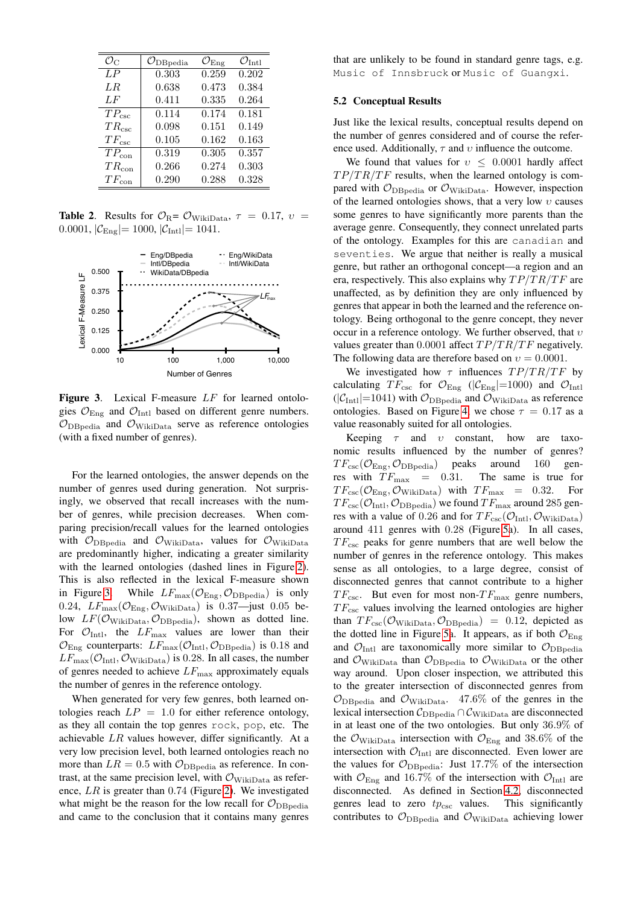| $\mathcal{O}_{\rm C}$ | $\mathcal{O}_{\text{DBpedia}}$ | $\mathcal{O}_{\mathrm{E} \mathrm{n} \varrho}$ | $U_{\text{Int}}$    | that are unlikely to be found in standard genre tags, e.g.                                  |
|-----------------------|--------------------------------|-----------------------------------------------|---------------------|---------------------------------------------------------------------------------------------|
| $\overline{LP}$       | 0.303                          | 0.259                                         | 0.202               | Music of Innsbruck or Music of Guangxi.                                                     |
| LR                    | 0.638                          | 0.473                                         | 0.384               |                                                                                             |
| LF                    | 0.411                          | 0.335                                         | 0.264               | <b>5.2 Conceptual Results</b>                                                               |
| $TP_{\csc}$           | 0.114                          | 0.174                                         | 0.181               |                                                                                             |
| $TR_{\csc}$           | 0.098                          |                                               | $0.151 \quad 0.149$ | Just like the lexical results, conceptual results depend on                                 |
| $TF_{\rm csc}$        | 0.105                          |                                               | $0.162$ $0.163$     | the number of genres considered and of course the refer-                                    |
| $TP_{\rm con}$        | 0.319                          | 0.305                                         | 0.357               | ence used. Additionally, $\tau$ and $\upsilon$ influence the outcome.                       |
| $TR_{\rm con}$        | 0.266                          | 0.274                                         | 0.303               | We found that values for $v \leq 0.0001$ hardly affect                                      |
| $TF_{\rm con}$        | 0.290                          | 0.288                                         | 0.328               | $TP/TR/TF$ results, when the learned ontology is com-                                       |
|                       |                                |                                               |                     | $\mathbf{p}$ parad with $\mathbf{p}$ are $\mathbf{p}$ are $\mathbf{p}$ . However increasing |

**Table 2.** Results for  $\mathcal{O}_{R} = \mathcal{O}_{\text{WikiData}}$ ,  $\tau = 0.17$ ,  $v =$ 0.0001,  $|\mathcal{C}_{\text{Eng}}| = 1000$ ,  $|\mathcal{C}_{\text{Int}}| = 1041$ .



<span id="page-4-1"></span>Figure 3. Lexical F-measure LF for learned ontologies  $\mathcal{O}_{\text{Enc}}$  and  $\mathcal{O}_{\text{Intl}}$  based on different genre numbers.  $\mathcal{O}_{\text{DBedia}}$  and  $\mathcal{O}_{\text{WikiData}}$  serve as reference ontologies (with a fixed number of genres).

For the learned ontologies, the answer depends on the number of genres used during generation. Not surprisingly, we observed that recall increases with the number of genres, while precision decreases. When comparing precision/recall values for the learned ontologies with  $\mathcal{O}_{\text{DBpedia}}$  and  $\mathcal{O}_{\text{WikiData}}$ , values for  $\mathcal{O}_{\text{WikiData}}$ are predominantly higher, indicating a greater similarity with the learned ontologies (dashed lines in Figure [2\)](#page-3-5). This is also reflected in the lexical F-measure shown in Figure [3.](#page-4-1) While  $LF_{\text{max}}(\mathcal{O}_{\text{Eng}}, \mathcal{O}_{\text{DBpedia}})$  is only 0.24,  $LF_{\text{max}}(\mathcal{O}_{\text{Eng}}, \mathcal{O}_{\text{WikiData}})$  is 0.37—just 0.05 below  $LF(\mathcal{O}_{\text{Wikipedia}}, \mathcal{O}_{\text{DBmedia}})$ , shown as dotted line. For  $\mathcal{O}_{\text{Intl}}$ , the  $LF_{\text{max}}$  values are lower than their  $\mathcal{O}_{\text{Eng}}$  counterparts:  $LF_{\text{max}}(\mathcal{O}_{\text{Intl}}, \mathcal{O}_{\text{DBpedia}})$  is 0.18 and  $LF_{\text{max}}(\mathcal{O}_{\text{Intl}}, \mathcal{O}_{\text{WikiData}})$  is 0.28. In all cases, the number of genres needed to achieve  $LF_{\text{max}}$  approximately equals the number of genres in the reference ontology.

When generated for very few genres, both learned ontologies reach  $LP = 1.0$  for either reference ontology, as they all contain the top genres rock, pop, etc. The achievable  $LR$  values however, differ significantly. At a very low precision level, both learned ontologies reach no more than  $LR = 0.5$  with  $\mathcal{O}_{\text{DBpedia}}$  as reference. In contrast, at the same precision level, with  $\mathcal{O}_{\text{WikiData}}$  as reference, LR is greater than 0.74 (Figure [2\)](#page-3-5). We investigated what might be the reason for the low recall for  $\mathcal{O}_{\text{DBnedia}}$ and came to the conclusion that it contains many genres

## <span id="page-4-0"></span>5.2 Conceptual Results

 $\equiv$  pared with  $\mathcal{O}_{\text{DBpedia}}$  or  $\mathcal{O}_{\text{WikiData}}$ . However, inspection We found that values for  $v \leq 0.0001$  hardly affect  $TP/TR/TF$  results, when the learned ontology is comof the learned ontologies shows, that a very low  $v$  causes some genres to have significantly more parents than the average genre. Consequently, they connect unrelated parts of the ontology. Examples for this are canadian and seventies. We argue that neither is really a musical genre, but rather an orthogonal concept—a region and an era, respectively. This also explains why  $TP/TR/TF$  are unaffected, as by definition they are only influenced by genres that appear in both the learned and the reference ontology. Being orthogonal to the genre concept, they never occur in a reference ontology. We further observed, that  $v$ values greater than 0.0001 affect  $TP/TR/TF$  negatively. The following data are therefore based on  $v = 0.0001$ .

We investigated how  $\tau$  influences  $TP/TR/TF$  by calculating  $TF_{\text{csc}}$  for  $\mathcal{O}_{\text{Eng}}$  ( $|\mathcal{C}_{\text{Eng}}|=1000$ ) and  $\mathcal{O}_{\text{Intl}}$  $(|C_{\text{Int}}|=1041)$  with  $\mathcal{O}_{\text{DBpedia}}$  and  $\mathcal{O}_{\text{WikiData}}$  as reference ontologies. Based on Figure [4,](#page-5-2) we chose  $\tau = 0.17$  as a value reasonably suited for all ontologies.

Keeping  $\tau$  and  $\upsilon$  constant, how are taxonomic results influenced by the number of genres?  $TF_{\rm csc}(\mathcal{O}_{\rm Eng}, \mathcal{O}_{\rm DBpedia})$  peaks around 160 gen-<br>res with  $TF_{\rm max} = 0.31$ . The same is true for res with  $TF_{\text{max}}$  = 0.31.  $TF_{\rm csc}(\mathcal{O}_{\rm Eng}, \mathcal{O}_{\rm Wikibata})$  with  $TF_{\rm max} = 0.32$ . For  $TF_{\rm csc}(\mathcal{O}_{\rm Intl}, \mathcal{O}_{\rm DBpedia})$  we found  $TF_{\rm max}$  around 285 genres with a value of 0.26 and for  $TF_{\rm csc}(\mathcal{O}_{\rm Intl}, \mathcal{O}_{\rm WikiData})$ around 411 genres with 0.28 (Figure [5a](#page-5-3)). In all cases,  $TF_{\rm csc}$  peaks for genre numbers that are well below the number of genres in the reference ontology. This makes sense as all ontologies, to a large degree, consist of disconnected genres that cannot contribute to a higher  $TF_{\rm csc}$ . But even for most non- $TF_{\rm max}$  genre numbers,  $TF_{\rm csc}$  values involving the learned ontologies are higher than  $TF_{\rm csc}(\mathcal{O}_{\rm WikiData}, \mathcal{O}_{\rm DBpedia}) = 0.12$ , depicted as the dotted line in Figure [5a](#page-5-3). It appears, as if both  $\mathcal{O}_{\text{Eng}}$ and  $\mathcal{O}_{\text{Intl}}$  are taxonomically more similar to  $\mathcal{O}_{\text{DBpedia}}$ and  $\mathcal{O}_{\text{WikiData}}$  than  $\mathcal{O}_{\text{DBpedia}}$  to  $\mathcal{O}_{\text{WikiData}}$  or the other way around. Upon closer inspection, we attributed this to the greater intersection of disconnected genres from  $\mathcal{O}_{\text{DBpedia}}$  and  $\mathcal{O}_{\text{WikiData}}$ . 47.6% of the genres in the lexical intersection  $C_{DB\nuedia} \cap C_{WikiData}$  are disconnected in at least one of the two ontologies. But only 36.9% of the  $\mathcal{O}_{\text{WikiData}}$  intersection with  $\mathcal{O}_{\text{Eng}}$  and 38.6% of the intersection with  $\mathcal{O}_{\text{Int}}$  are disconnected. Even lower are the values for  $\mathcal{O}_{\text{DBpedia}}$ : Just 17.7% of the intersection with  $\mathcal{O}_{\text{Eng}}$  and 16.7% of the intersection with  $\mathcal{O}_{\text{Intl}}$  are disconnected. As defined in Section [4.2,](#page-3-2) disconnected genres lead to zero  $tp_{\csc}$  values. This significantly contributes to  $\mathcal{O}_{\text{DBpedia}}$  and  $\mathcal{O}_{\text{WikiData}}$  achieving lower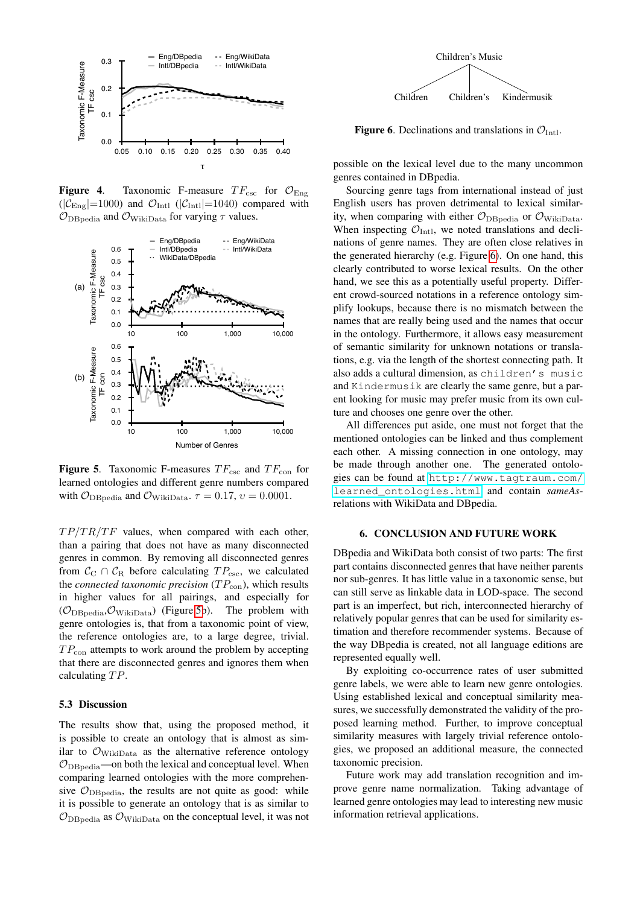

<span id="page-5-2"></span>Figure 4. Taxonomic F-measure  $TF_{\text{csc}}$  for  $\mathcal{O}_{\text{Eng}}$  $(|\mathcal{C}_{\text{Eng}}|=1000)$  and  $\mathcal{O}_{\text{Intl}}$  ( $|\mathcal{C}_{\text{Intl}}|=1040$ ) compared with  $\mathcal{O}_{\text{DBpedia}}$  and  $\mathcal{O}_{\text{WikiData}}$  for varying  $\tau$  values.



<span id="page-5-3"></span>**Figure 5.** Taxonomic F-measures  $TF_{\text{csc}}$  and  $TF_{\text{con}}$  for learned ontologies and different genre numbers compared with  $\mathcal{O}_{\text{DBpedia}}$  and  $\mathcal{O}_{\text{WikiData}}$ .  $\tau = 0.17$ ,  $v = 0.0001$ .

 $TP/TR/TF$  values, when compared with each other, than a pairing that does not have as many disconnected genres in common. By removing all disconnected genres from  $C_C \cap C_R$  before calculating  $TP_{\text{csc}}$ , we calculated the *connected taxonomic precision*  $(T P_{\text{con}})$ , which results in higher values for all pairings, and especially for  $(\mathcal{O}_{\text{DBpedia}}, \mathcal{O}_{\text{WikiData}})$  (Figure [5b](#page-5-3)). The problem with genre ontologies is, that from a taxonomic point of view, the reference ontologies are, to a large degree, trivial.  $TP_{\text{con}}$  attempts to work around the problem by accepting that there are disconnected genres and ignores them when calculating  $TP$ .

#### <span id="page-5-1"></span>5.3 Discussion

The results show that, using the proposed method, it is possible to create an ontology that is almost as similar to  $\mathcal{O}_{\text{WikiData}}$  as the alternative reference ontology  $\mathcal{O}_{\text{DBpedia}}$ —on both the lexical and conceptual level. When comparing learned ontologies with the more comprehensive  $\mathcal{O}_{\text{DBpedia}}$ , the results are not quite as good: while it is possible to generate an ontology that is as similar to  $\mathcal{O}_{\text{DBnedia}}$  as  $\mathcal{O}_{\text{Wikipedia}}$  on the conceptual level, it was not



<span id="page-5-4"></span>**Figure 6.** Declinations and translations in  $\mathcal{O}_{\text{Int}}$ .

possible on the lexical level due to the many uncommon genres contained in DBpedia.

Sourcing genre tags from international instead of just English users has proven detrimental to lexical similarity, when comparing with either  $\mathcal{O}_{\text{DBpedia}}$  or  $\mathcal{O}_{\text{WikiData}}$ . When inspecting  $\mathcal{O}_{\text{Int}}$ , we noted translations and declinations of genre names. They are often close relatives in the generated hierarchy (e.g. Figure [6\)](#page-5-4). On one hand, this clearly contributed to worse lexical results. On the other hand, we see this as a potentially useful property. Different crowd-sourced notations in a reference ontology simplify lookups, because there is no mismatch between the names that are really being used and the names that occur in the ontology. Furthermore, it allows easy measurement of semantic similarity for unknown notations or translations, e.g. via the length of the shortest connecting path. It also adds a cultural dimension, as children's music and Kindermusik are clearly the same genre, but a parent looking for music may prefer music from its own culture and chooses one genre over the other.

All differences put aside, one must not forget that the mentioned ontologies can be linked and thus complement each other. A missing connection in one ontology, may be made through another one. The generated ontologies can be found at [http://www.tagtraum.com/](http://www.tagtraum.com/learned_ontologies.html) [learned\\_ontologies.html](http://www.tagtraum.com/learned_ontologies.html) and contain *sameAs*relations with WikiData and DBpedia.

# 6. CONCLUSION AND FUTURE WORK

<span id="page-5-0"></span>DBpedia and WikiData both consist of two parts: The first part contains disconnected genres that have neither parents nor sub-genres. It has little value in a taxonomic sense, but can still serve as linkable data in LOD-space. The second part is an imperfect, but rich, interconnected hierarchy of relatively popular genres that can be used for similarity estimation and therefore recommender systems. Because of the way DBpedia is created, not all language editions are represented equally well.

By exploiting co-occurrence rates of user submitted genre labels, we were able to learn new genre ontologies. Using established lexical and conceptual similarity measures, we successfully demonstrated the validity of the proposed learning method. Further, to improve conceptual similarity measures with largely trivial reference ontologies, we proposed an additional measure, the connected taxonomic precision.

Future work may add translation recognition and improve genre name normalization. Taking advantage of learned genre ontologies may lead to interesting new music information retrieval applications.